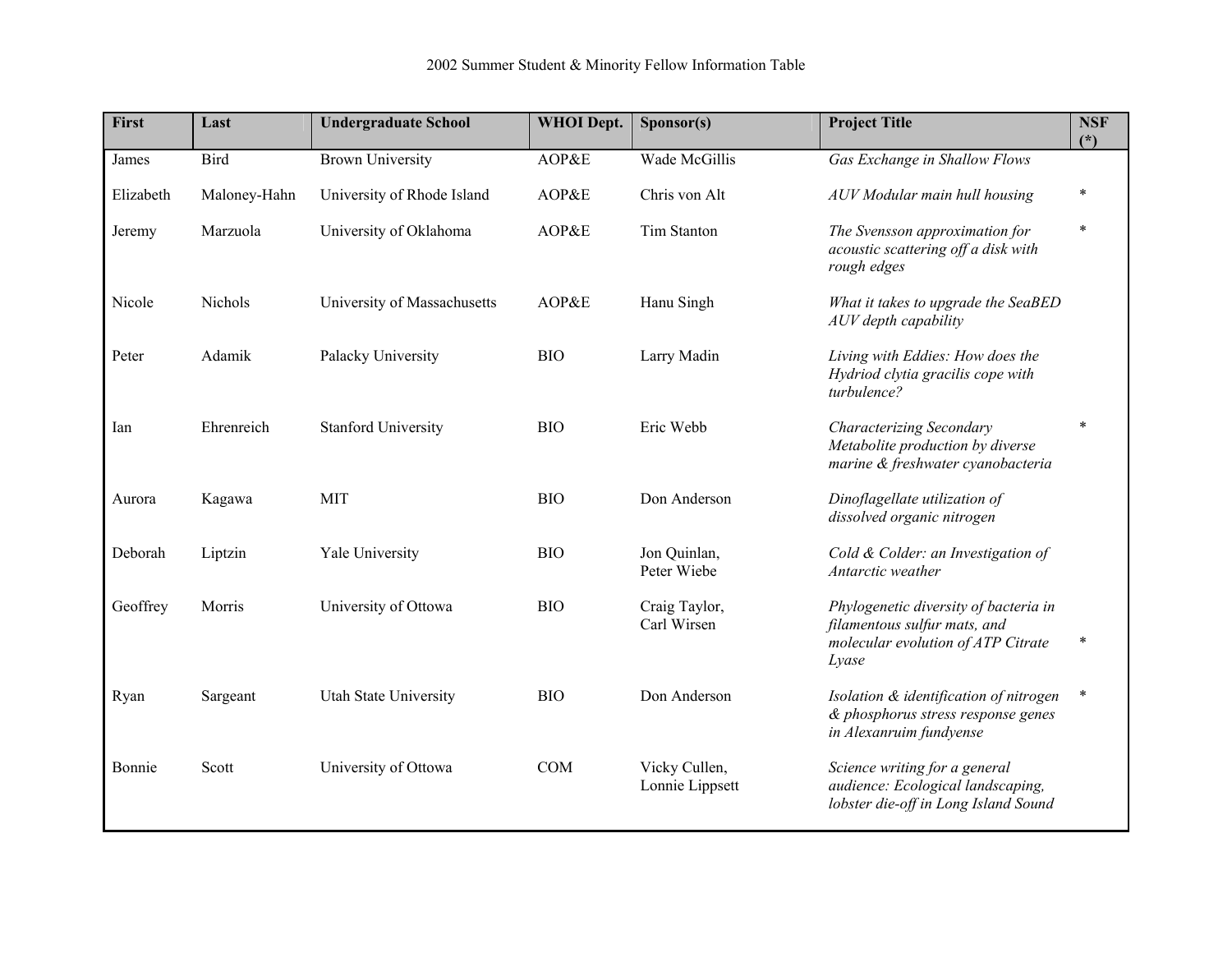| First     | Last         | <b>Undergraduate School</b> | <b>WHOI</b> Dept. | Sponsor(s)                       | <b>Project Title</b>                                                                                                 | <b>NSF</b><br>$(*)$ |
|-----------|--------------|-----------------------------|-------------------|----------------------------------|----------------------------------------------------------------------------------------------------------------------|---------------------|
| James     | Bird         | <b>Brown University</b>     | AOP&E             | Wade McGillis                    | Gas Exchange in Shallow Flows                                                                                        |                     |
| Elizabeth | Maloney-Hahn | University of Rhode Island  | AOP&E             | Chris von Alt                    | AUV Modular main hull housing                                                                                        | *                   |
| Jeremy    | Marzuola     | University of Oklahoma      | AOP&E             | Tim Stanton                      | The Svensson approximation for<br>acoustic scattering off a disk with<br>rough edges                                 | $\ast$              |
| Nicole    | Nichols      | University of Massachusetts | AOP&E             | Hanu Singh                       | What it takes to upgrade the SeaBED<br>AUV depth capability                                                          |                     |
| Peter     | Adamik       | Palacky University          | <b>BIO</b>        | Larry Madin                      | Living with Eddies: How does the<br>Hydriod clytia gracilis cope with<br>turbulence?                                 |                     |
| Ian       | Ehrenreich   | <b>Stanford University</b>  | <b>BIO</b>        | Eric Webb                        | Characterizing Secondary<br>Metabolite production by diverse<br>marine & freshwater cyanobacteria                    | $\ast$              |
| Aurora    | Kagawa       | <b>MIT</b>                  | <b>BIO</b>        | Don Anderson                     | Dinoflagellate utilization of<br>dissolved organic nitrogen                                                          |                     |
| Deborah   | Liptzin      | Yale University             | <b>BIO</b>        | Jon Quinlan,<br>Peter Wiebe      | Cold & Colder: an Investigation of<br>Antarctic weather                                                              |                     |
| Geoffrey  | Morris       | University of Ottowa        | <b>BIO</b>        | Craig Taylor,<br>Carl Wirsen     | Phylogenetic diversity of bacteria in<br>filamentous sulfur mats, and<br>molecular evolution of ATP Citrate<br>Lyase |                     |
| Ryan      | Sargeant     | Utah State University       | <b>BIO</b>        | Don Anderson                     | Isolation & identification of nitrogen<br>& phosphorus stress response genes<br>in Alexanruim fundyense              | $\ast$              |
| Bonnie    | Scott        | University of Ottowa        | COM               | Vicky Cullen,<br>Lonnie Lippsett | Science writing for a general<br>audience: Ecological landscaping,<br>lobster die-off in Long Island Sound           |                     |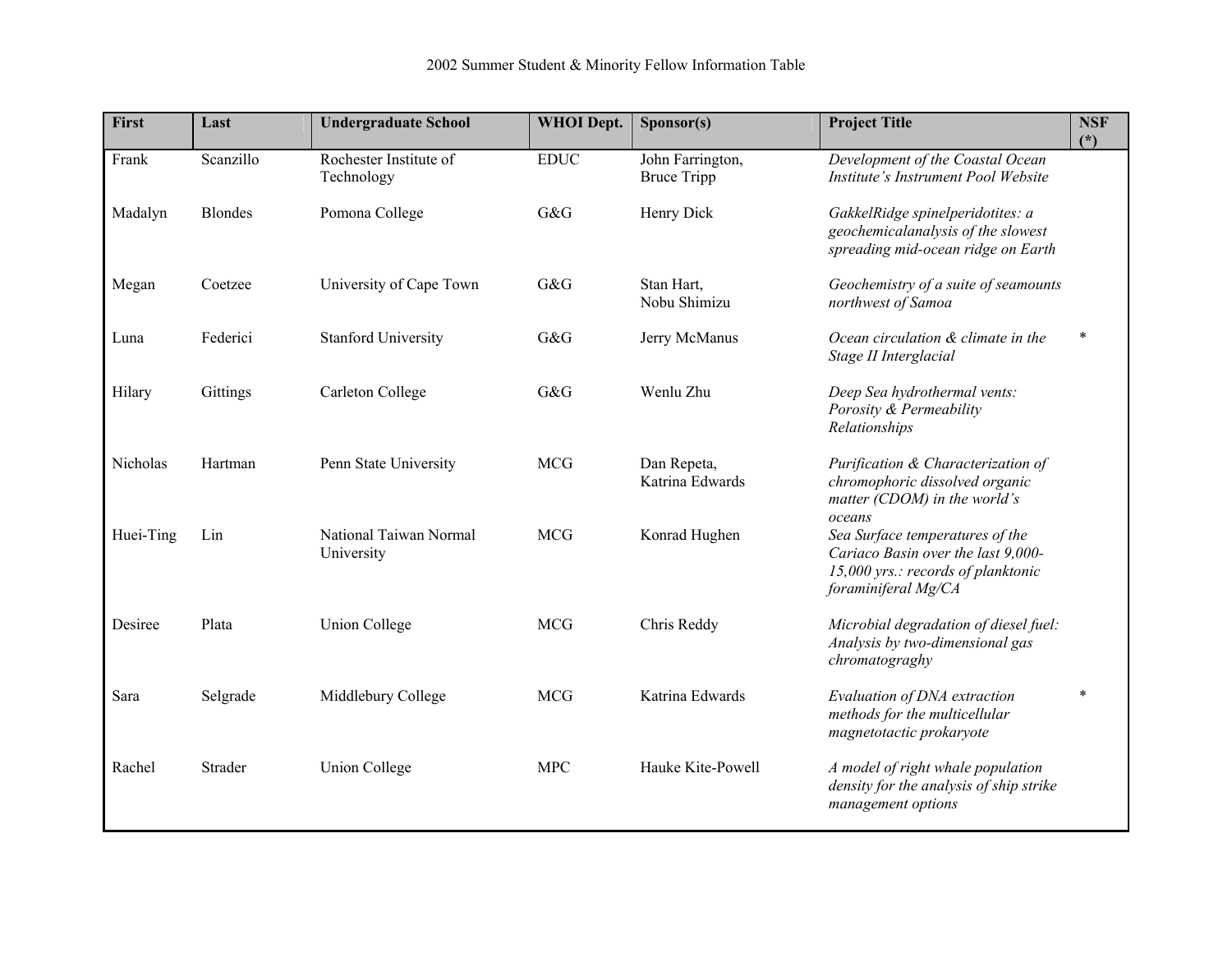| First     | Last           | <b>Undergraduate School</b>          | <b>WHOI</b> Dept. | Sponsor(s)                             | <b>Project Title</b>                                                                                                               | <b>NSF</b><br>$(*)$ |
|-----------|----------------|--------------------------------------|-------------------|----------------------------------------|------------------------------------------------------------------------------------------------------------------------------------|---------------------|
| Frank     | Scanzillo      | Rochester Institute of<br>Technology | <b>EDUC</b>       | John Farrington,<br><b>Bruce Tripp</b> | Development of the Coastal Ocean<br>Institute's Instrument Pool Website                                                            |                     |
| Madalyn   | <b>Blondes</b> | Pomona College                       | G&G               | Henry Dick                             | GakkelRidge spinelperidotites: a<br>geochemicalanalysis of the slowest<br>spreading mid-ocean ridge on Earth                       |                     |
| Megan     | Coetzee        | University of Cape Town              | G&G               | Stan Hart,<br>Nobu Shimizu             | Geochemistry of a suite of seamounts<br>northwest of Samoa                                                                         |                     |
| Luna      | Federici       | <b>Stanford University</b>           | G&G               | Jerry McManus                          | Ocean circulation & climate in the<br>Stage II Interglacial                                                                        | $\ast$              |
| Hilary    | Gittings       | Carleton College                     | G&G               | Wenlu Zhu                              | Deep Sea hydrothermal vents:<br>Porosity & Permeability<br>Relationships                                                           |                     |
| Nicholas  | Hartman        | Penn State University                | <b>MCG</b>        | Dan Repeta,<br>Katrina Edwards         | Purification & Characterization of<br>chromophoric dissolved organic<br>matter (CDOM) in the world's<br>oceans                     |                     |
| Huei-Ting | Lin            | National Taiwan Normal<br>University | <b>MCG</b>        | Konrad Hughen                          | Sea Surface temperatures of the<br>Cariaco Basin over the last 9,000-<br>15,000 yrs.: records of planktonic<br>foraminiferal Mg/CA |                     |
| Desiree   | Plata          | <b>Union College</b>                 | <b>MCG</b>        | Chris Reddy                            | Microbial degradation of diesel fuel:<br>Analysis by two-dimensional gas<br>chromatograghy                                         |                     |
| Sara      | Selgrade       | Middlebury College                   | <b>MCG</b>        | Katrina Edwards                        | Evaluation of DNA extraction<br>methods for the multicellular<br>magnetotactic prokaryote                                          | $\ast$              |
| Rachel    | Strader        | <b>Union College</b>                 | <b>MPC</b>        | Hauke Kite-Powell                      | A model of right whale population<br>density for the analysis of ship strike<br>management options                                 |                     |